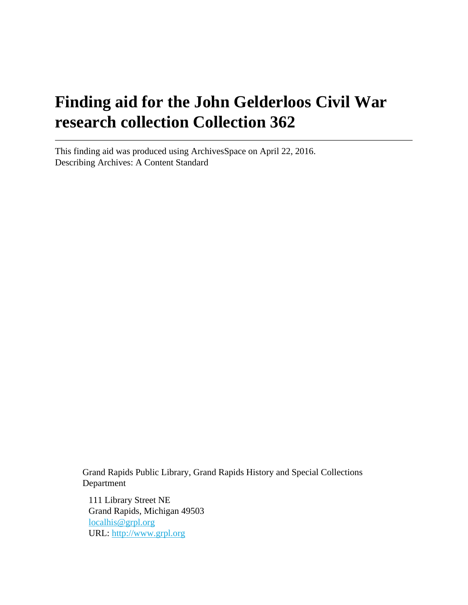# **Finding aid for the John Gelderloos Civil War research collection Collection 362**

This finding aid was produced using ArchivesSpace on April 22, 2016. Describing Archives: A Content Standard

> Grand Rapids Public Library, Grand Rapids History and Special Collections Department

111 Library Street NE Grand Rapids, Michigan 49503 [localhis@grpl.org](mailto:localhis@grpl.org) URL:<http://www.grpl.org>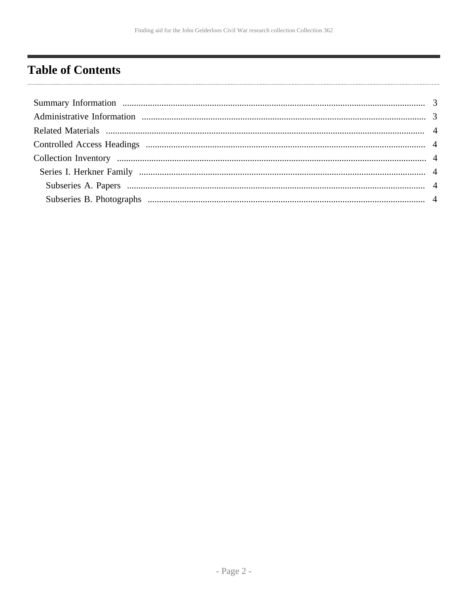## <span id="page-1-0"></span>**Table of Contents**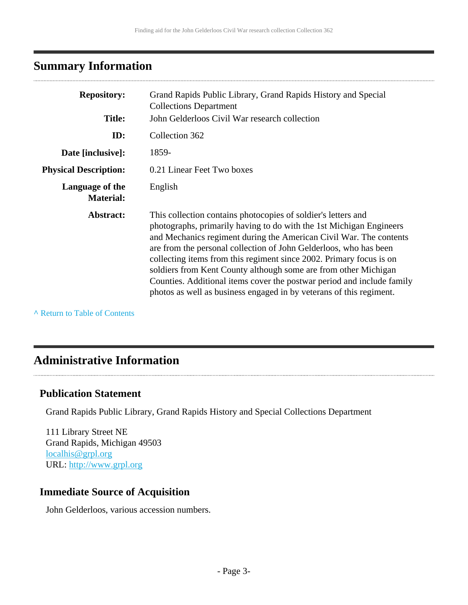## <span id="page-2-0"></span>**Summary Information**

| <b>Repository:</b>                  | Grand Rapids Public Library, Grand Rapids History and Special<br><b>Collections Department</b>                                                                                                                                                                                                                                                                                                                                                                                                                                                                             |  |
|-------------------------------------|----------------------------------------------------------------------------------------------------------------------------------------------------------------------------------------------------------------------------------------------------------------------------------------------------------------------------------------------------------------------------------------------------------------------------------------------------------------------------------------------------------------------------------------------------------------------------|--|
| <b>Title:</b>                       | John Gelderloos Civil War research collection                                                                                                                                                                                                                                                                                                                                                                                                                                                                                                                              |  |
| ID:                                 | Collection 362                                                                                                                                                                                                                                                                                                                                                                                                                                                                                                                                                             |  |
| Date [inclusive]:                   | 1859-                                                                                                                                                                                                                                                                                                                                                                                                                                                                                                                                                                      |  |
| <b>Physical Description:</b>        | 0.21 Linear Feet Two boxes                                                                                                                                                                                                                                                                                                                                                                                                                                                                                                                                                 |  |
| Language of the<br><b>Material:</b> | English                                                                                                                                                                                                                                                                                                                                                                                                                                                                                                                                                                    |  |
| Abstract:                           | This collection contains photocopies of soldier's letters and<br>photographs, primarily having to do with the 1st Michigan Engineers<br>and Mechanics regiment during the American Civil War. The contents<br>are from the personal collection of John Gelderloos, who has been<br>collecting items from this regiment since 2002. Primary focus is on<br>soldiers from Kent County although some are from other Michigan<br>Counties. Additional items cover the postwar period and include family<br>photos as well as business engaged in by veterans of this regiment. |  |

**^** [Return to Table of Contents](#page-1-0)

## <span id="page-2-1"></span>**Administrative Information**

### **Publication Statement**

Grand Rapids Public Library, Grand Rapids History and Special Collections Department

111 Library Street NE Grand Rapids, Michigan 49503 [localhis@grpl.org](mailto:localhis@grpl.org) URL:<http://www.grpl.org>

### **Immediate Source of Acquisition**

John Gelderloos, various accession numbers.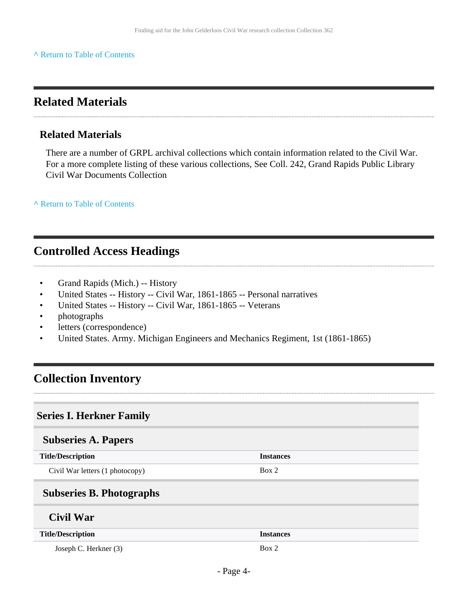#### **^** [Return to Table of Contents](#page-1-0)

### <span id="page-3-0"></span>**Related Materials**

#### **Related Materials**

There are a number of GRPL archival collections which contain information related to the Civil War. For a more complete listing of these various collections, See Coll. 242, Grand Rapids Public Library Civil War Documents Collection

**^** [Return to Table of Contents](#page-1-0)

## <span id="page-3-1"></span>**Controlled Access Headings**

- Grand Rapids (Mich.) -- History
- United States -- History -- Civil War, 1861-1865 -- Personal narratives
- United States -- History -- Civil War, 1861-1865 -- Veterans
- photographs
- letters (correspondence)
- United States. Army. Michigan Engineers and Mechanics Regiment, 1st (1861-1865)

### <span id="page-3-2"></span>**Collection Inventory**

#### <span id="page-3-3"></span>**Series I. Herkner Family**

#### <span id="page-3-4"></span>**Subseries A. Papers**

<span id="page-3-5"></span>

| <b>Title/Description</b>        | <b>Instances</b> |
|---------------------------------|------------------|
| Civil War letters (1 photocopy) | Box 2            |
| <b>Subseries B. Photographs</b> |                  |
| Civil War                       |                  |
| <b>Title/Description</b>        | <b>Instances</b> |

Joseph C. Herkner (3) Box 2